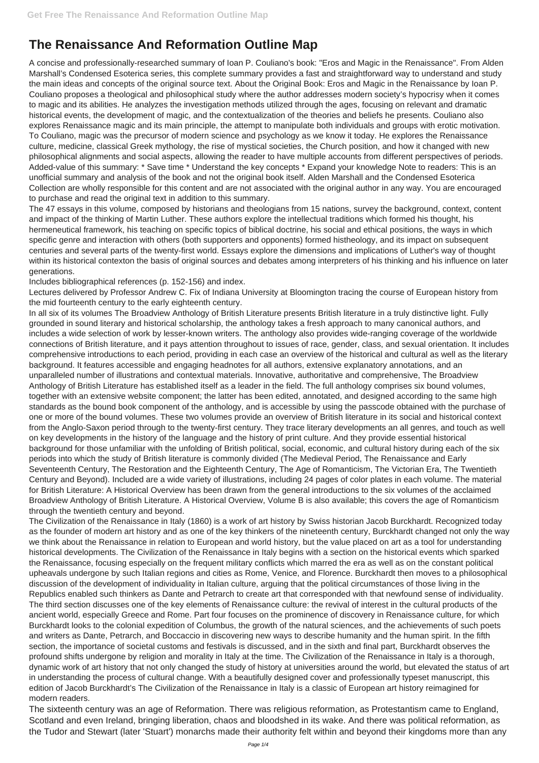## **The Renaissance And Reformation Outline Map**

A concise and professionally-researched summary of Ioan P. Couliano's book: "Eros and Magic in the Renaissance". From Alden Marshall's Condensed Esoterica series, this complete summary provides a fast and straightforward way to understand and study the main ideas and concepts of the original source text. About the Original Book: Eros and Magic in the Renaissance by Ioan P. Couliano proposes a theological and philosophical study where the author addresses modern society's hypocrisy when it comes to magic and its abilities. He analyzes the investigation methods utilized through the ages, focusing on relevant and dramatic historical events, the development of magic, and the contextualization of the theories and beliefs he presents. Couliano also explores Renaissance magic and its main principle, the attempt to manipulate both individuals and groups with erotic motivation. To Couliano, magic was the precursor of modern science and psychology as we know it today. He explores the Renaissance culture, medicine, classical Greek mythology, the rise of mystical societies, the Church position, and how it changed with new philosophical alignments and social aspects, allowing the reader to have multiple accounts from different perspectives of periods. Added-value of this summary: \* Save time \* Understand the key concepts \* Expand your knowledge Note to readers: This is an unofficial summary and analysis of the book and not the original book itself. Alden Marshall and the Condensed Esoterica Collection are wholly responsible for this content and are not associated with the original author in any way. You are encouraged to purchase and read the original text in addition to this summary.

The 47 essays in this volume, composed by historians and theologians from 15 nations, survey the background, context, content and impact of the thinking of Martin Luther. These authors explore the intellectual traditions which formed his thought, his hermeneutical framework, his teaching on specific topics of biblical doctrine, his social and ethical positions, the ways in which specific genre and interaction with others (both supporters and opponents) formed histheology, and its impact on subsequent centuries and several parts of the twenty-first world. Essays explore the dimensions and implications of Luther's way of thought within its historical contexton the basis of original sources and debates among interpreters of his thinking and his influence on later generations.

Includes bibliographical references (p. 152-156) and index.

Lectures delivered by Professor Andrew C. Fix of Indiana University at Bloomington tracing the course of European history from the mid fourteenth century to the early eighteenth century.

In all six of its volumes The Broadview Anthology of British Literature presents British literature in a truly distinctive light. Fully grounded in sound literary and historical scholarship, the anthology takes a fresh approach to many canonical authors, and includes a wide selection of work by lesser-known writers. The anthology also provides wide-ranging coverage of the worldwide connections of British literature, and it pays attention throughout to issues of race, gender, class, and sexual orientation. It includes comprehensive introductions to each period, providing in each case an overview of the historical and cultural as well as the literary background. It features accessible and engaging headnotes for all authors, extensive explanatory annotations, and an unparalleled number of illustrations and contextual materials. Innovative, authoritative and comprehensive, The Broadview Anthology of British Literature has established itself as a leader in the field. The full anthology comprises six bound volumes, together with an extensive website component; the latter has been edited, annotated, and designed according to the same high standards as the bound book component of the anthology, and is accessible by using the passcode obtained with the purchase of one or more of the bound volumes. These two volumes provide an overview of British literature in its social and historical context from the Anglo-Saxon period through to the twenty-first century. They trace literary developments an all genres, and touch as well on key developments in the history of the language and the history of print culture. And they provide essential historical background for those unfamiliar with the unfolding of British political, social, economic, and cultural history during each of the six periods into which the study of British literature is commonly divided (The Medieval Period, The Renaissance and Early Seventeenth Century, The Restoration and the Eighteenth Century, The Age of Romanticism, The Victorian Era, The Twentieth Century and Beyond). Included are a wide variety of illustrations, including 24 pages of color plates in each volume. The material for British Literature: A Historical Overview has been drawn from the general introductions to the six volumes of the acclaimed Broadview Anthology of British Literature. A Historical Overview, Volume B is also available; this covers the age of Romanticism through the twentieth century and beyond.

The Civilization of the Renaissance in Italy (1860) is a work of art history by Swiss historian Jacob Burckhardt. Recognized today as the founder of modern art history and as one of the key thinkers of the nineteenth century, Burckhardt changed not only the way we think about the Renaissance in relation to European and world history, but the value placed on art as a tool for understanding historical developments. The Civilization of the Renaissance in Italy begins with a section on the historical events which sparked the Renaissance, focusing especially on the frequent military conflicts which marred the era as well as on the constant political upheavals undergone by such Italian regions and cities as Rome, Venice, and Florence. Burckhardt then moves to a philosophical discussion of the development of individuality in Italian culture, arguing that the political circumstances of those living in the Republics enabled such thinkers as Dante and Petrarch to create art that corresponded with that newfound sense of individuality. The third section discusses one of the key elements of Renaissance culture: the revival of interest in the cultural products of the ancient world, especially Greece and Rome. Part four focuses on the prominence of discovery in Renaissance culture, for which Burckhardt looks to the colonial expedition of Columbus, the growth of the natural sciences, and the achievements of such poets and writers as Dante, Petrarch, and Boccaccio in discovering new ways to describe humanity and the human spirit. In the fifth section, the importance of societal customs and festivals is discussed, and in the sixth and final part, Burckhardt observes the profound shifts undergone by religion and morality in Italy at the time. The Civilization of the Renaissance in Italy is a thorough, dynamic work of art history that not only changed the study of history at universities around the world, but elevated the status of art in understanding the process of cultural change. With a beautifully designed cover and professionally typeset manuscript, this edition of Jacob Burckhardt's The Civilization of the Renaissance in Italy is a classic of European art history reimagined for modern readers. The sixteenth century was an age of Reformation. There was religious reformation, as Protestantism came to England, Scotland and even Ireland, bringing liberation, chaos and bloodshed in its wake. And there was political reformation, as the Tudor and Stewart (later 'Stuart') monarchs made their authority felt within and beyond their kingdoms more than any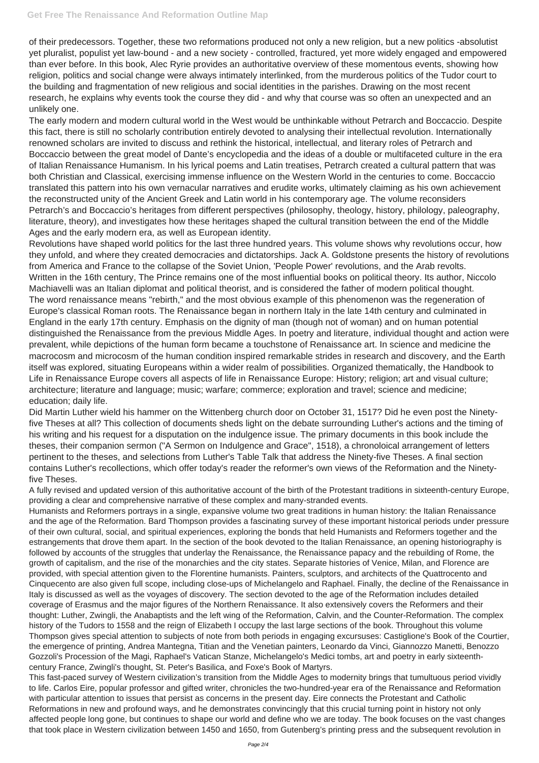of their predecessors. Together, these two reformations produced not only a new religion, but a new politics -absolutist yet pluralist, populist yet law-bound - and a new society - controlled, fractured, yet more widely engaged and empowered than ever before. In this book, Alec Ryrie provides an authoritative overview of these momentous events, showing how religion, politics and social change were always intimately interlinked, from the murderous politics of the Tudor court to the building and fragmentation of new religious and social identities in the parishes. Drawing on the most recent research, he explains why events took the course they did - and why that course was so often an unexpected and an unlikely one.

The early modern and modern cultural world in the West would be unthinkable without Petrarch and Boccaccio. Despite this fact, there is still no scholarly contribution entirely devoted to analysing their intellectual revolution. Internationally renowned scholars are invited to discuss and rethink the historical, intellectual, and literary roles of Petrarch and Boccaccio between the great model of Dante's encyclopedia and the ideas of a double or multifaceted culture in the era of Italian Renaissance Humanism. In his lyrical poems and Latin treatises, Petrarch created a cultural pattern that was both Christian and Classical, exercising immense influence on the Western World in the centuries to come. Boccaccio translated this pattern into his own vernacular narratives and erudite works, ultimately claiming as his own achievement the reconstructed unity of the Ancient Greek and Latin world in his contemporary age. The volume reconsiders Petrarch's and Boccaccio's heritages from different perspectives (philosophy, theology, history, philology, paleography, literature, theory), and investigates how these heritages shaped the cultural transition between the end of the Middle Ages and the early modern era, as well as European identity.

Revolutions have shaped world politics for the last three hundred years. This volume shows why revolutions occur, how they unfold, and where they created democracies and dictatorships. Jack A. Goldstone presents the history of revolutions from America and France to the collapse of the Soviet Union, 'People Power' revolutions, and the Arab revolts. Written in the 16th century, The Prince remains one of the most influential books on political theory. Its author, Niccolo Machiavelli was an Italian diplomat and political theorist, and is considered the father of modern political thought. The word renaissance means "rebirth," and the most obvious example of this phenomenon was the regeneration of Europe's classical Roman roots. The Renaissance began in northern Italy in the late 14th century and culminated in England in the early 17th century. Emphasis on the dignity of man (though not of woman) and on human potential distinguished the Renaissance from the previous Middle Ages. In poetry and literature, individual thought and action were prevalent, while depictions of the human form became a touchstone of Renaissance art. In science and medicine the macrocosm and microcosm of the human condition inspired remarkable strides in research and discovery, and the Earth itself was explored, situating Europeans within a wider realm of possibilities. Organized thematically, the Handbook to Life in Renaissance Europe covers all aspects of life in Renaissance Europe: History; religion; art and visual culture; architecture; literature and language; music; warfare; commerce; exploration and travel; science and medicine; education; daily life.

Did Martin Luther wield his hammer on the Wittenberg church door on October 31, 1517? Did he even post the Ninetyfive Theses at all? This collection of documents sheds light on the debate surrounding Luther's actions and the timing of his writing and his request for a disputation on the indulgence issue. The primary documents in this book include the theses, their companion sermon ("A Sermon on Indulgence and Grace", 1518), a chronoloical arrangement of letters pertinent to the theses, and selections from Luther's Table Talk that address the Ninety-five Theses. A final section contains Luther's recollections, which offer today's reader the reformer's own views of the Reformation and the Ninetyfive Theses.

A fully revised and updated version of this authoritative account of the birth of the Protestant traditions in sixteenth-century Europe, providing a clear and comprehensive narrative of these complex and many-stranded events.

Humanists and Reformers portrays in a single, expansive volume two great traditions in human history: the Italian Renaissance and the age of the Reformation. Bard Thompson provides a fascinating survey of these important historical periods under pressure of their own cultural, social, and spiritual experiences, exploring the bonds that held Humanists and Reformers together and the estrangements that drove them apart. In the section of the book devoted to the Italian Renaissance, an opening historiography is followed by accounts of the struggles that underlay the Renaissance, the Renaissance papacy and the rebuilding of Rome, the growth of capitalism, and the rise of the monarchies and the city states. Separate histories of Venice, Milan, and Florence are provided, with special attention given to the Florentine humanists. Painters, sculptors, and architects of the Quattrocento and Cinquecento are also given full scope, including close-ups of Michelangelo and Raphael. Finally, the decline of the Renaissance in Italy is discussed as well as the voyages of discovery. The section devoted to the age of the Reformation includes detailed coverage of Erasmus and the major figures of the Northern Renaissance. It also extensively covers the Reformers and their thought: Luther, Zwingli, the Anabaptists and the left wing of the Reformation, Calvin, and the Counter-Reformation. The complex history of the Tudors to 1558 and the reign of Elizabeth I occupy the last large sections of the book. Throughout this volume Thompson gives special attention to subjects of note from both periods in engaging excursuses: Castiglione's Book of the Courtier, the emergence of printing, Andrea Mantegna, Titian and the Venetian painters, Leonardo da Vinci, Giannozzo Manetti, Benozzo Gozzoli's Procession of the Magi, Raphael's Vatican Stanze, Michelangelo's Medici tombs, art and poetry in early sixteenthcentury France, Zwingli's thought, St. Peter's Basilica, and Foxe's Book of Martyrs. This fast-paced survey of Western civilization's transition from the Middle Ages to modernity brings that tumultuous period vividly to life. Carlos Eire, popular professor and gifted writer, chronicles the two-hundred-year era of the Renaissance and Reformation with particular attention to issues that persist as concerns in the present day. Eire connects the Protestant and Catholic Reformations in new and profound ways, and he demonstrates convincingly that this crucial turning point in history not only affected people long gone, but continues to shape our world and define who we are today. The book focuses on the vast changes that took place in Western civilization between 1450 and 1650, from Gutenberg's printing press and the subsequent revolution in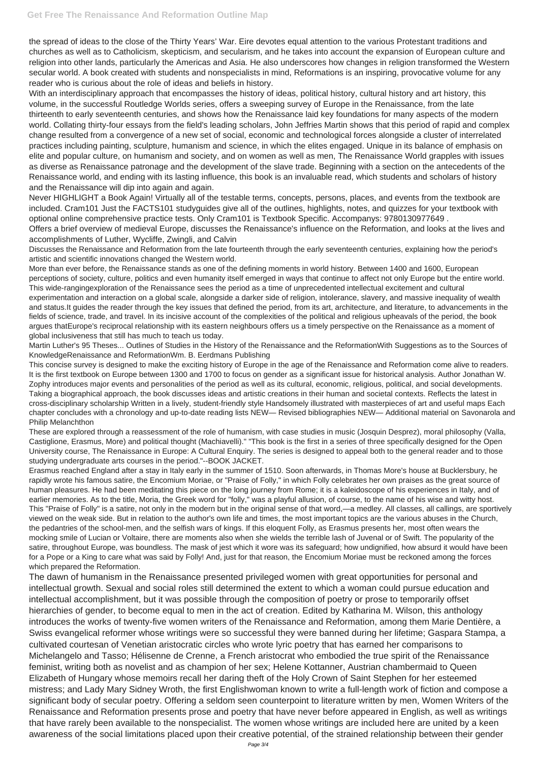the spread of ideas to the close of the Thirty Years' War. Eire devotes equal attention to the various Protestant traditions and churches as well as to Catholicism, skepticism, and secularism, and he takes into account the expansion of European culture and religion into other lands, particularly the Americas and Asia. He also underscores how changes in religion transformed the Western secular world. A book created with students and nonspecialists in mind, Reformations is an inspiring, provocative volume for any reader who is curious about the role of ideas and beliefs in history.

With an interdisciplinary approach that encompasses the history of ideas, political history, cultural history and art history, this volume, in the successful Routledge Worlds series, offers a sweeping survey of Europe in the Renaissance, from the late thirteenth to early seventeenth centuries, and shows how the Renaissance laid key foundations for many aspects of the modern world. Collating thirty-four essays from the field's leading scholars, John Jeffries Martin shows that this period of rapid and complex change resulted from a convergence of a new set of social, economic and technological forces alongside a cluster of interrelated practices including painting, sculpture, humanism and science, in which the elites engaged. Unique in its balance of emphasis on elite and popular culture, on humanism and society, and on women as well as men, The Renaissance World grapples with issues as diverse as Renaissance patronage and the development of the slave trade. Beginning with a section on the antecedents of the Renaissance world, and ending with its lasting influence, this book is an invaluable read, which students and scholars of history and the Renaissance will dip into again and again.

Never HIGHLIGHT a Book Again! Virtually all of the testable terms, concepts, persons, places, and events from the textbook are included. Cram101 Just the FACTS101 studyguides give all of the outlines, highlights, notes, and quizzes for your textbook with optional online comprehensive practice tests. Only Cram101 is Textbook Specific. Accompanys: 9780130977649 .

Offers a brief overview of medieval Europe, discusses the Renaissance's influence on the Reformation, and looks at the lives and accomplishments of Luther, Wycliffe, Zwingli, and Calvin

Discusses the Renaissance and Reformation from the late fourteenth through the early seventeenth centuries, explaining how the period's artistic and scientific innovations changed the Western world.

More than ever before, the Renaissance stands as one of the defining moments in world history. Between 1400 and 1600, European perceptions of society, culture, politics and even humanity itself emerged in ways that continue to affect not only Europe but the entire world. This wide-rangingexploration of the Renaissance sees the period as a time of unprecedented intellectual excitement and cultural experimentation and interaction on a global scale, alongside a darker side of religion, intolerance, slavery, and massive inequality of wealth and status.It guides the reader through the key issues that defined the period, from its art, architecture, and literature, to advancements in the fields of science, trade, and travel. In its incisive account of the complexities of the political and religious upheavals of the period, the book argues thatEurope's reciprocal relationship with its eastern neighbours offers us a timely perspective on the Renaissance as a moment of global inclusiveness that still has much to teach us today.

Martin Luther's 95 Theses... Outlines of Studies in the History of the Renaissance and the ReformationWith Suggestions as to the Sources of KnowledgeRenaissance and ReformationWm. B. Eerdmans Publishing

This concise survey is designed to make the exciting history of Europe in the age of the Renaissance and Reformation come alive to readers. It is the first textbook on Europe between 1300 and 1700 to focus on gender as a significant issue for historical analysis. Author Jonathan W. Zophy introduces major events and personalities of the period as well as its cultural, economic, religious, political, and social developments. Taking a biographical approach, the book discusses ideas and artistic creations in their human and societal contexts. Reflects the latest in cross-disciplinary scholarship Written in a lively, student-friendly style Handsomely illustrated with masterpieces of art and useful maps Each chapter concludes with a chronology and up-to-date reading lists NEW— Revised bibliographies NEW— Additional material on Savonarola and Philip Melanchthon

These are explored through a reassessment of the role of humanism, with case studies in music (Josquin Desprez), moral philosophy (Valla, Castiglione, Erasmus, More) and political thought (Machiavelli)." "This book is the first in a series of three specifically designed for the Open University course, The Renaissance in Europe: A Cultural Enquiry. The series is designed to appeal both to the general reader and to those studying undergraduate arts courses in the period."--BOOK JACKET.

Erasmus reached England after a stay in Italy early in the summer of 1510. Soon afterwards, in Thomas More's house at Bucklersbury, he rapidly wrote his famous satire, the Encomium Moriae, or "Praise of Folly," in which Folly celebrates her own praises as the great source of human pleasures. He had been meditating this piece on the long journey from Rome; it is a kaleidoscope of his experiences in Italy, and of earlier memories. As to the title, Moria, the Greek word for "folly," was a playful allusion, of course, to the name of his wise and witty host. This "Praise of Folly" is a satire, not only in the modern but in the original sense of that word,—a medley. All classes, all callings, are sportively viewed on the weak side. But in relation to the author's own life and times, the most important topics are the various abuses in the Church, the pedantries of the school-men, and the selfish wars of kings. If this eloquent Folly, as Erasmus presents her, most often wears the mocking smile of Lucian or Voltaire, there are moments also when she wields the terrible lash of Juvenal or of Swift. The popularity of the satire, throughout Europe, was boundless. The mask of jest which it wore was its safeguard; how undignified, how absurd it would have been for a Pope or a King to care what was said by Folly! And, just for that reason, the Encomium Moriae must be reckoned among the forces which prepared the Reformation. The dawn of humanism in the Renaissance presented privileged women with great opportunities for personal and intellectual growth. Sexual and social roles still determined the extent to which a woman could pursue education and intellectual accomplishment, but it was possible through the composition of poetry or prose to temporarily offset hierarchies of gender, to become equal to men in the act of creation. Edited by Katharina M. Wilson, this anthology introduces the works of twenty-five women writers of the Renaissance and Reformation, among them Marie Dentière, a Swiss evangelical reformer whose writings were so successful they were banned during her lifetime; Gaspara Stampa, a cultivated courtesan of Venetian aristocratic circles who wrote lyric poetry that has earned her comparisons to Michelangelo and Tasso; Hélisenne de Crenne, a French aristocrat who embodied the true spirit of the Renaissance feminist, writing both as novelist and as champion of her sex; Helene Kottanner, Austrian chambermaid to Queen Elizabeth of Hungary whose memoirs recall her daring theft of the Holy Crown of Saint Stephen for her esteemed mistress; and Lady Mary Sidney Wroth, the first Englishwoman known to write a full-length work of fiction and compose a significant body of secular poetry. Offering a seldom seen counterpoint to literature written by men, Women Writers of the Renaissance and Reformation presents prose and poetry that have never before appeared in English, as well as writings that have rarely been available to the nonspecialist. The women whose writings are included here are united by a keen awareness of the social limitations placed upon their creative potential, of the strained relationship between their gender